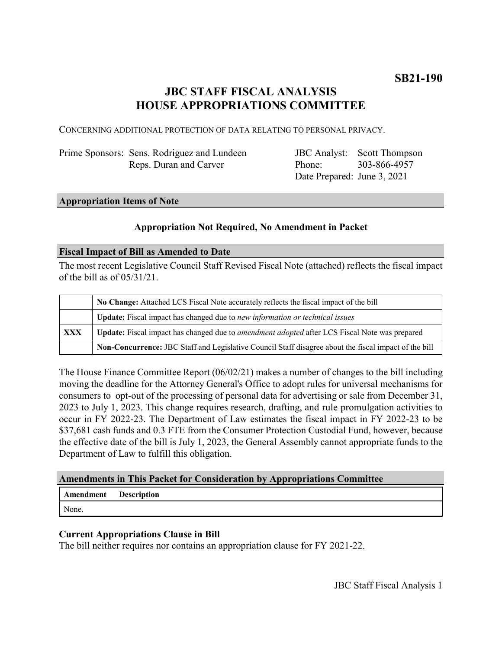## **JBC STAFF FISCAL ANALYSIS HOUSE APPROPRIATIONS COMMITTEE**

CONCERNING ADDITIONAL PROTECTION OF DATA RELATING TO PERSONAL PRIVACY.

| Prime Sponsors: Sens. Rodriguez and Lundeen |
|---------------------------------------------|
| Reps. Duran and Carver                      |

JBC Analyst: Scott Thompson Phone: Date Prepared: June 3, 2021 303-866-4957

#### **Appropriation Items of Note**

#### **Appropriation Not Required, No Amendment in Packet**

#### **Fiscal Impact of Bill as Amended to Date**

The most recent Legislative Council Staff Revised Fiscal Note (attached) reflects the fiscal impact of the bill as of 05/31/21.

|     | No Change: Attached LCS Fiscal Note accurately reflects the fiscal impact of the bill                 |  |
|-----|-------------------------------------------------------------------------------------------------------|--|
|     | Update: Fiscal impact has changed due to new information or technical issues                          |  |
| XXX | Update: Fiscal impact has changed due to amendment adopted after LCS Fiscal Note was prepared         |  |
|     | Non-Concurrence: JBC Staff and Legislative Council Staff disagree about the fiscal impact of the bill |  |

The House Finance Committee Report (06/02/21) makes a number of changes to the bill including moving the deadline for the Attorney General's Office to adopt rules for universal mechanisms for consumers to opt-out of the processing of personal data for advertising or sale from December 31, 2023 to July 1, 2023. This change requires research, drafting, and rule promulgation activities to occur in FY 2022-23. The Department of Law estimates the fiscal impact in FY 2022-23 to be \$37,681 cash funds and 0.3 FTE from the Consumer Protection Custodial Fund, however, because the effective date of the bill is July 1, 2023, the General Assembly cannot appropriate funds to the Department of Law to fulfill this obligation.

#### **Amendments in This Packet for Consideration by Appropriations Committee**

## **Amendment Description**

None.

### **Current Appropriations Clause in Bill**

The bill neither requires nor contains an appropriation clause for FY 2021-22.